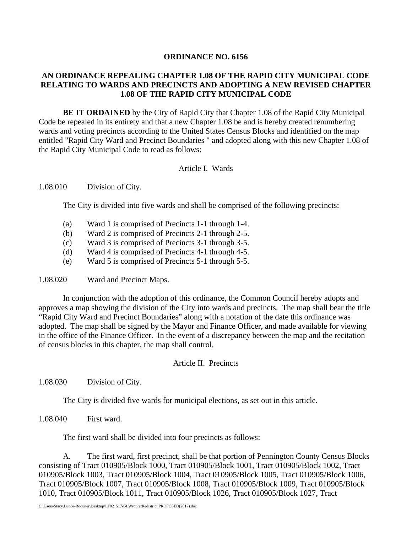### **ORDINANCE NO. 6156**

# **AN ORDINANCE REPEALING CHAPTER 1.08 OF THE RAPID CITY MUNICIPAL CODE RELATING TO WARDS AND PRECINCTS AND ADOPTING A NEW REVISED CHAPTER 1.08 OF THE RAPID CITY MUNICIPAL CODE**

**BE IT ORDAINED** by the City of Rapid City that Chapter 1.08 of the Rapid City Municipal Code be repealed in its entirety and that a new Chapter 1.08 be and is hereby created renumbering wards and voting precincts according to the United States Census Blocks and identified on the map entitled "Rapid City Ward and Precinct Boundaries " and adopted along with this new Chapter 1.08 of the Rapid City Municipal Code to read as follows:

# Article I. Wards

## 1.08.010 Division of City.

The City is divided into five wards and shall be comprised of the following precincts:

- (a) Ward 1 is comprised of Precincts 1-1 through 1-4.
- (b) Ward 2 is comprised of Precincts 2-1 through 2-5.
- (c) Ward 3 is comprised of Precincts 3-1 through 3-5.
- (d) Ward 4 is comprised of Precincts 4-1 through 4-5.
- (e) Ward 5 is comprised of Precincts 5-1 through 5-5.

1.08.020 Ward and Precinct Maps.

In conjunction with the adoption of this ordinance, the Common Council hereby adopts and approves a map showing the division of the City into wards and precincts. The map shall bear the title "Rapid City Ward and Precinct Boundaries" along with a notation of the date this ordinance was adopted. The map shall be signed by the Mayor and Finance Officer, and made available for viewing in the office of the Finance Officer. In the event of a discrepancy between the map and the recitation of census blocks in this chapter, the map shall control.

### Article II. Precincts

1.08.030 Division of City.

The City is divided five wards for municipal elections, as set out in this article.

1.08.040 First ward.

The first ward shall be divided into four precincts as follows:

 A. The first ward, first precinct, shall be that portion of Pennington County Census Blocks consisting of Tract 010905/Block 1000, Tract 010905/Block 1001, Tract 010905/Block 1002, Tract 010905/Block 1003, Tract 010905/Block 1004, Tract 010905/Block 1005, Tract 010905/Block 1006, Tract 010905/Block 1007, Tract 010905/Block 1008, Tract 010905/Block 1009, Tract 010905/Block 1010, Tract 010905/Block 1011, Tract 010905/Block 1026, Tract 010905/Block 1027, Tract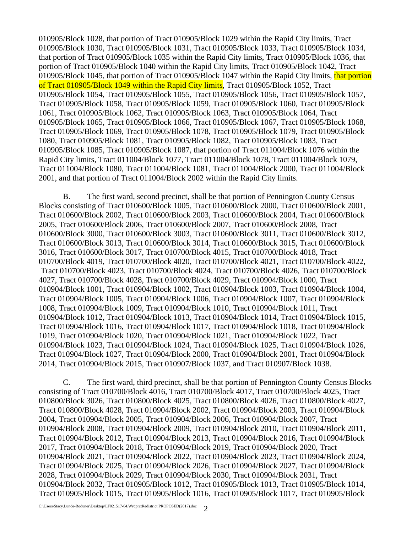010905/Block 1028, that portion of Tract 010905/Block 1029 within the Rapid City limits, Tract 010905/Block 1030, Tract 010905/Block 1031, Tract 010905/Block 1033, Tract 010905/Block 1034, that portion of Tract 010905/Block 1035 within the Rapid City limits, Tract 010905/Block 1036, that portion of Tract 010905/Block 1040 within the Rapid City limits, Tract 010905/Block 1042, Tract 010905/Block 1045, that portion of Tract 010905/Block 1047 within the Rapid City limits, that portion of Tract 010905/Block 1049 within the Rapid City limits, Tract 010905/Block 1052, Tract 010905/Block 1054, Tract 010905/Block 1055, Tract 010905/Block 1056, Tract 010905/Block 1057, Tract 010905/Block 1058, Tract 010905/Block 1059, Tract 010905/Block 1060, Tract 010905/Block 1061, Tract 010905/Block 1062, Tract 010905/Block 1063, Tract 010905/Block 1064, Tract 010905/Block 1065, Tract 010905/Block 1066, Tract 010905/Block 1067, Tract 010905/Block 1068, Tract 010905/Block 1069, Tract 010905/Block 1078, Tract 010905/Block 1079, Tract 010905/Block 1080, Tract 010905/Block 1081, Tract 010905/Block 1082, Tract 010905/Block 1083, Tract 010905/Block 1085, Tract 010905/Block 1087, that portion of Tract 011004/Block 1076 within the Rapid City limits, Tract 011004/Block 1077, Tract 011004/Block 1078, Tract 011004/Block 1079, Tract 011004/Block 1080, Tract 011004/Block 1081, Tract 011004/Block 2000, Tract 011004/Block 2001, and that portion of Tract 011004/Block 2002 within the Rapid City limits.

 B. The first ward, second precinct, shall be that portion of Pennington County Census Blocks consisting of Tract 010600/Block 1005, Tract 010600/Block 2000, Tract 010600/Block 2001, Tract 010600/Block 2002, Tract 010600/Block 2003, Tract 010600/Block 2004, Tract 010600/Block 2005, Tract 010600/Block 2006, Tract 010600/Block 2007, Tract 010600/Block 2008, Tract 010600/Block 3000, Tract 010600/Block 3003, Tract 010600/Block 3011, Tract 010600/Block 3012, Tract 010600/Block 3013, Tract 010600/Block 3014, Tract 010600/Block 3015, Tract 010600/Block 3016, Tract 010600/Block 3017, Tract 010700/Block 4015, Tract 010700/Block 4018, Tract 010700/Block 4019, Tract 010700/Block 4020, Tract 010700/Block 4021, Tract 010700/Block 4022, Tract 010700/Block 4023, Tract 010700/Block 4024, Tract 010700/Block 4026, Tract 010700/Block 4027, Tract 010700/Block 4028, Tract 010700/Block 4029, Tract 010904/Block 1000, Tract 010904/Block 1001, Tract 010904/Block 1002, Tract 010904/Block 1003, Tract 010904/Block 1004, Tract 010904/Block 1005, Tract 010904/Block 1006, Tract 010904/Block 1007, Tract 010904/Block 1008, Tract 010904/Block 1009, Tract 010904/Block 1010, Tract 010904/Block 1011, Tract 010904/Block 1012, Tract 010904/Block 1013, Tract 010904/Block 1014, Tract 010904/Block 1015, Tract 010904/Block 1016, Tract 010904/Block 1017, Tract 010904/Block 1018, Tract 010904/Block 1019, Tract 010904/Block 1020, Tract 010904/Block 1021, Tract 010904/Block 1022, Tract 010904/Block 1023, Tract 010904/Block 1024, Tract 010904/Block 1025, Tract 010904/Block 1026, Tract 010904/Block 1027, Tract 010904/Block 2000, Tract 010904/Block 2001, Tract 010904/Block 2014, Tract 010904/Block 2015, Tract 010907/Block 1037, and Tract 010907/Block 1038.

 C. The first ward, third precinct, shall be that portion of Pennington County Census Blocks consisting of Tract 010700/Block 4016, Tract 010700/Block 4017, Tract 010700/Block 4025, Tract 010800/Block 3026, Tract 010800/Block 4025, Tract 010800/Block 4026, Tract 010800/Block 4027, Tract 010800/Block 4028, Tract 010904/Block 2002, Tract 010904/Block 2003, Tract 010904/Block 2004, Tract 010904/Block 2005, Tract 010904/Block 2006, Tract 010904/Block 2007, Tract 010904/Block 2008, Tract 010904/Block 2009, Tract 010904/Block 2010, Tract 010904/Block 2011, Tract 010904/Block 2012, Tract 010904/Block 2013, Tract 010904/Block 2016, Tract 010904/Block 2017, Tract 010904/Block 2018, Tract 010904/Block 2019, Tract 010904/Block 2020, Tract 010904/Block 2021, Tract 010904/Block 2022, Tract 010904/Block 2023, Tract 010904/Block 2024, Tract 010904/Block 2025, Tract 010904/Block 2026, Tract 010904/Block 2027, Tract 010904/Block 2028, Tract 010904/Block 2029, Tract 010904/Block 2030, Tract 010904/Block 2031, Tract 010904/Block 2032, Tract 010905/Block 1012, Tract 010905/Block 1013, Tract 010905/Block 1014, Tract 010905/Block 1015, Tract 010905/Block 1016, Tract 010905/Block 1017, Tract 010905/Block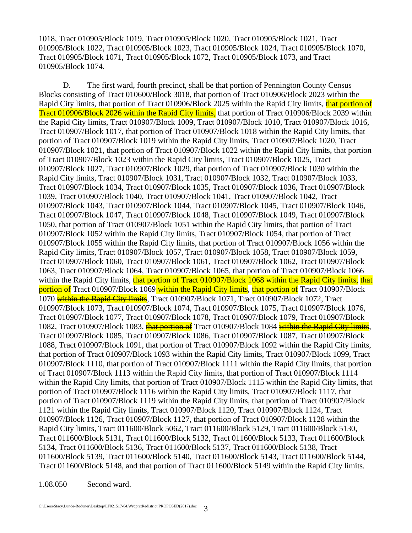1018, Tract 010905/Block 1019, Tract 010905/Block 1020, Tract 010905/Block 1021, Tract 010905/Block 1022, Tract 010905/Block 1023, Tract 010905/Block 1024, Tract 010905/Block 1070, Tract 010905/Block 1071, Tract 010905/Block 1072, Tract 010905/Block 1073, and Tract 010905/Block 1074.

 D. The first ward, fourth precinct, shall be that portion of Pennington County Census Blocks consisting of Tract 010600/Block 3018, that portion of Tract 010906/Block 2023 within the Rapid City limits, that portion of Tract 010906/Block 2025 within the Rapid City limits, that portion of Tract 010906/Block 2026 within the Rapid City limits, that portion of Tract 010906/Block 2039 within the Rapid City limits, Tract 010907/Block 1009, Tract 010907/Block 1010, Tract 010907/Block 1016, Tract 010907/Block 1017, that portion of Tract 010907/Block 1018 within the Rapid City limits, that portion of Tract 010907/Block 1019 within the Rapid City limits, Tract 010907/Block 1020, Tract 010907/Block 1021, that portion of Tract 010907/Block 1022 within the Rapid City limits, that portion of Tract 010907/Block 1023 within the Rapid City limits, Tract 010907/Block 1025, Tract 010907/Block 1027, Tract 010907/Block 1029, that portion of Tract 010907/Block 1030 within the Rapid City limits, Tract 010907/Block 1031, Tract 010907/Block 1032, Tract 010907/Block 1033, Tract 010907/Block 1034, Tract 010907/Block 1035, Tract 010907/Block 1036, Tract 010907/Block 1039, Tract 010907/Block 1040, Tract 010907/Block 1041, Tract 010907/Block 1042, Tract 010907/Block 1043, Tract 010907/Block 1044, Tract 010907/Block 1045, Tract 010907/Block 1046, Tract 010907/Block 1047, Tract 010907/Block 1048, Tract 010907/Block 1049, Tract 010907/Block 1050, that portion of Tract 010907/Block 1051 within the Rapid City limits, that portion of Tract 010907/Block 1052 within the Rapid City limits, Tract 010907/Block 1054, that portion of Tract 010907/Block 1055 within the Rapid City limits, that portion of Tract 010907/Block 1056 within the Rapid City limits, Tract 010907/Block 1057, Tract 010907/Block 1058, Tract 010907/Block 1059, Tract 010907/Block 1060, Tract 010907/Block 1061, Tract 010907/Block 1062, Tract 010907/Block 1063, Tract 010907/Block 1064, Tract 010907/Block 1065, that portion of Tract 010907/Block 1066 within the Rapid City limits, that portion of Tract 010907/Block 1068 within the Rapid City limits, that **portion of** Tract 010907/Block 1069 within the Rapid City limits, that portion of Tract 010907/Block 1070 within the Rapid City limits, Tract 010907/Block 1071, Tract 010907/Block 1072, Tract 010907/Block 1073, Tract 010907/Block 1074, Tract 010907/Block 1075, Tract 010907/Block 1076, Tract 010907/Block 1077, Tract 010907/Block 1078, Tract 010907/Block 1079, Tract 010907/Block 1082, Tract 010907/Block 1083, that portion of Tract 010907/Block 1084 within the Rapid City limits, Tract 010907/Block 1085, Tract 010907/Block 1086, Tract 010907/Block 1087, Tract 010907/Block 1088, Tract 010907/Block 1091, that portion of Tract 010907/Block 1092 within the Rapid City limits, that portion of Tract 010907/Block 1093 within the Rapid City limits, Tract 010907/Block 1099, Tract 010907/Block 1110, that portion of Tract 010907/Block 1111 within the Rapid City limits, that portion of Tract 010907/Block 1113 within the Rapid City limits, that portion of Tract 010907/Block 1114 within the Rapid City limits, that portion of Tract 010907/Block 1115 within the Rapid City limits, that portion of Tract 010907/Block 1116 within the Rapid City limits, Tract 010907/Block 1117, that portion of Tract 010907/Block 1119 within the Rapid City limits, that portion of Tract 010907/Block 1121 within the Rapid City limits, Tract 010907/Block 1120, Tract 010907/Block 1124, Tract 010907/Block 1126, Tract 010907/Block 1127, that portion of Tract 010907/Block 1128 within the Rapid City limits, Tract 011600/Block 5062, Tract 011600/Block 5129, Tract 011600/Block 5130, Tract 011600/Block 5131, Tract 011600/Block 5132, Tract 011600/Block 5133, Tract 011600/Block 5134, Tract 011600/Block 5136, Tract 011600/Block 5137, Tract 011600/Block 5138, Tract 011600/Block 5139, Tract 011600/Block 5140, Tract 011600/Block 5143, Tract 011600/Block 5144, Tract 011600/Block 5148, and that portion of Tract 011600/Block 5149 within the Rapid City limits.

1.08.050 Second ward.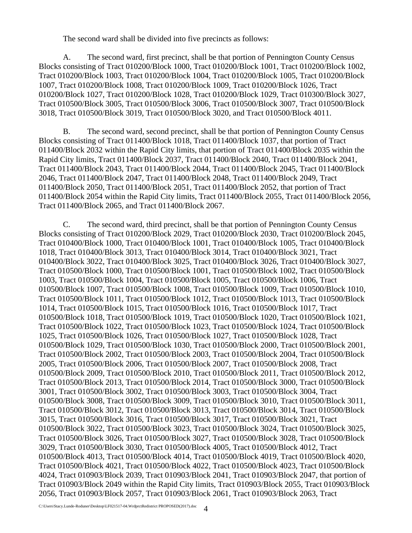The second ward shall be divided into five precincts as follows:

 A. The second ward, first precinct, shall be that portion of Pennington County Census Blocks consisting of Tract 010200/Block 1000, Tract 010200/Block 1001, Tract 010200/Block 1002, Tract 010200/Block 1003, Tract 010200/Block 1004, Tract 010200/Block 1005, Tract 010200/Block 1007, Tract 010200/Block 1008, Tract 010200/Block 1009, Tract 010200/Block 1026, Tract 010200/Block 1027, Tract 010200/Block 1028, Tract 010200/Block 1029, Tract 010300/Block 3027, Tract 010500/Block 3005, Tract 010500/Block 3006, Tract 010500/Block 3007, Tract 010500/Block 3018, Tract 010500/Block 3019, Tract 010500/Block 3020, and Tract 010500/Block 4011.

B. The second ward, second precinct, shall be that portion of Pennington County Census Blocks consisting of Tract 011400/Block 1018, Tract 011400/Block 1037, that portion of Tract 011400/Block 2032 within the Rapid City limits, that portion of Tract 011400/Block 2035 within the Rapid City limits, Tract 011400/Block 2037, Tract 011400/Block 2040, Tract 011400/Block 2041, Tract 011400/Block 2043, Tract 011400/Block 2044, Tract 011400/Block 2045, Tract 011400/Block 2046, Tract 011400/Block 2047, Tract 011400/Block 2048, Tract 011400/Block 2049, Tract 011400/Block 2050, Tract 011400/Block 2051, Tract 011400/Block 2052, that portion of Tract 011400/Block 2054 within the Rapid City limits, Tract 011400/Block 2055, Tract 011400/Block 2056, Tract 011400/Block 2065, and Tract 011400/Block 2067.

C. The second ward, third precinct, shall be that portion of Pennington County Census Blocks consisting of Tract 010200/Block 2029, Tract 010200/Block 2030, Tract 010200/Block 2045, Tract 010400/Block 1000, Tract 010400/Block 1001, Tract 010400/Block 1005, Tract 010400/Block 1018, Tract 010400/Block 3013, Tract 010400/Block 3014, Tract 010400/Block 3021, Tract 010400/Block 3022, Tract 010400/Block 3025, Tract 010400/Block 3026, Tract 010400/Block 3027, Tract 010500/Block 1000, Tract 010500/Block 1001, Tract 010500/Block 1002, Tract 010500/Block 1003, Tract 010500/Block 1004, Tract 010500/Block 1005, Tract 010500/Block 1006, Tract 010500/Block 1007, Tract 010500/Block 1008, Tract 010500/Block 1009, Tract 010500/Block 1010, Tract 010500/Block 1011, Tract 010500/Block 1012, Tract 010500/Block 1013, Tract 010500/Block 1014, Tract 010500/Block 1015, Tract 010500/Block 1016, Tract 010500/Block 1017, Tract 010500/Block 1018, Tract 010500/Block 1019, Tract 010500/Block 1020, Tract 010500/Block 1021, Tract 010500/Block 1022, Tract 010500/Block 1023, Tract 010500/Block 1024, Tract 010500/Block 1025, Tract 010500/Block 1026, Tract 010500/Block 1027, Tract 010500/Block 1028, Tract 010500/Block 1029, Tract 010500/Block 1030, Tract 010500/Block 2000, Tract 010500/Block 2001, Tract 010500/Block 2002, Tract 010500/Block 2003, Tract 010500/Block 2004, Tract 010500/Block 2005, Tract 010500/Block 2006, Tract 010500/Block 2007, Tract 010500/Block 2008, Tract 010500/Block 2009, Tract 010500/Block 2010, Tract 010500/Block 2011, Tract 010500/Block 2012, Tract 010500/Block 2013, Tract 010500/Block 2014, Tract 010500/Block 3000, Tract 010500/Block 3001, Tract 010500/Block 3002, Tract 010500/Block 3003, Tract 010500/Block 3004, Tract 010500/Block 3008, Tract 010500/Block 3009, Tract 010500/Block 3010, Tract 010500/Block 3011, Tract 010500/Block 3012, Tract 010500/Block 3013, Tract 010500/Block 3014, Tract 010500/Block 3015, Tract 010500/Block 3016, Tract 010500/Block 3017, Tract 010500/Block 3021, Tract 010500/Block 3022, Tract 010500/Block 3023, Tract 010500/Block 3024, Tract 010500/Block 3025, Tract 010500/Block 3026, Tract 010500/Block 3027, Tract 010500/Block 3028, Tract 010500/Block 3029, Tract 010500/Block 3030, Tract 010500/Block 4005, Tract 010500/Block 4012, Tract 010500/Block 4013, Tract 010500/Block 4014, Tract 010500/Block 4019, Tract 010500/Block 4020, Tract 010500/Block 4021, Tract 010500/Block 4022, Tract 010500/Block 4023, Tract 010500/Block 4024, Tract 010903/Block 2039, Tract 010903/Block 2041, Tract 010903/Block 2047, that portion of Tract 010903/Block 2049 within the Rapid City limits, Tract 010903/Block 2055, Tract 010903/Block 2056, Tract 010903/Block 2057, Tract 010903/Block 2061, Tract 010903/Block 2063, Tract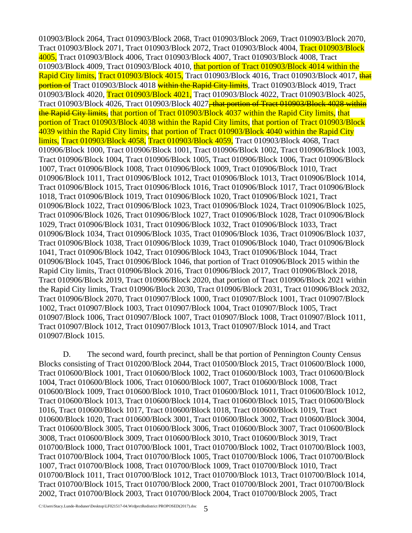010903/Block 2064, Tract 010903/Block 2068, Tract 010903/Block 2069, Tract 010903/Block 2070, Tract 010903/Block 2071, Tract 010903/Block 2072, Tract 010903/Block 4004, Tract 010903/Block 4005, Tract 010903/Block 4006, Tract 010903/Block 4007, Tract 010903/Block 4008, Tract 010903/Block 4009, Tract 010903/Block 4010, that portion of Tract 010903/Block 4014 within the Rapid City limits, Tract 010903/Block 4015, Tract 010903/Block 4016, Tract 010903/Block 4017, that **portion of** Tract 010903/Block 4018 within the Rapid City limits, Tract 010903/Block 4019, Tract 010903/Block 4020, Tract 010903/Block 4021, Tract 010903/Block 4022, Tract 010903/Block 4025, Tract 010903/Block 4026, Tract 010903/Block 4027, that portion of Tract 010903/Block 4028 within the Rapid City limits, that portion of Tract 010903/Block 4037 within the Rapid City limits, that portion of Tract 010903/Block 4038 within the Rapid City limits, that portion of Tract 010903/Block 4039 within the Rapid City limits, that portion of Tract 010903/Block 4040 within the Rapid City limits, Tract 010903/Block 4058, Tract 010903/Block 4059, Tract 010903/Block 4068, Tract 010906/Block 1000, Tract 010906/Block 1001, Tract 010906/Block 1002, Tract 010906/Block 1003, Tract 010906/Block 1004, Tract 010906/Block 1005, Tract 010906/Block 1006, Tract 010906/Block 1007, Tract 010906/Block 1008, Tract 010906/Block 1009, Tract 010906/Block 1010, Tract 010906/Block 1011, Tract 010906/Block 1012, Tract 010906/Block 1013, Tract 010906/Block 1014, Tract 010906/Block 1015, Tract 010906/Block 1016, Tract 010906/Block 1017, Tract 010906/Block 1018, Tract 010906/Block 1019, Tract 010906/Block 1020, Tract 010906/Block 1021, Tract 010906/Block 1022, Tract 010906/Block 1023, Tract 010906/Block 1024, Tract 010906/Block 1025, Tract 010906/Block 1026, Tract 010906/Block 1027, Tract 010906/Block 1028, Tract 010906/Block 1029, Tract 010906/Block 1031, Tract 010906/Block 1032, Tract 010906/Block 1033, Tract 010906/Block 1034, Tract 010906/Block 1035, Tract 010906/Block 1036, Tract 010906/Block 1037, Tract 010906/Block 1038, Tract 010906/Block 1039, Tract 010906/Block 1040, Tract 010906/Block 1041, Tract 010906/Block 1042, Tract 010906/Block 1043, Tract 010906/Block 1044, Tract 010906/Block 1045, Tract 010906/Block 1046, that portion of Tract 010906/Block 2015 within the Rapid City limits, Tract 010906/Block 2016, Tract 010906/Block 2017, Tract 010906/Block 2018, Tract 010906/Block 2019, Tract 010906/Block 2020, that portion of Tract 010906/Block 2021 within the Rapid City limits, Tract 010906/Block 2030, Tract 010906/Block 2031, Tract 010906/Block 2032, Tract 010906/Block 2070, Tract 010907/Block 1000, Tract 010907/Block 1001, Tract 010907/Block 1002, Tract 010907/Block 1003, Tract 010907/Block 1004, Tract 010907/Block 1005, Tract 010907/Block 1006, Tract 010907/Block 1007, Tract 010907/Block 1008, Tract 010907/Block 1011, Tract 010907/Block 1012, Tract 010907/Block 1013, Tract 010907/Block 1014, and Tract 010907/Block 1015.

D. The second ward, fourth precinct, shall be that portion of Pennington County Census Blocks consisting of Tract 010200/Block 2044, Tract 010500/Block 2015, Tract 010600/Block 1000, Tract 010600/Block 1001, Tract 010600/Block 1002, Tract 010600/Block 1003, Tract 010600/Block 1004, Tract 010600/Block 1006, Tract 010600/Block 1007, Tract 010600/Block 1008, Tract 010600/Block 1009, Tract 010600/Block 1010, Tract 010600/Block 1011, Tract 010600/Block 1012, Tract 010600/Block 1013, Tract 010600/Block 1014, Tract 010600/Block 1015, Tract 010600/Block 1016, Tract 010600/Block 1017, Tract 010600/Block 1018, Tract 010600/Block 1019, Tract 010600/Block 1020, Tract 010600/Block 3001, Tract 010600/Block 3002, Tract 010600/Block 3004, Tract 010600/Block 3005, Tract 010600/Block 3006, Tract 010600/Block 3007, Tract 010600/Block 3008, Tract 010600/Block 3009, Tract 010600/Block 3010, Tract 010600/Block 3019, Tract 010700/Block 1000, Tract 010700/Block 1001, Tract 010700/Block 1002, Tract 010700/Block 1003, Tract 010700/Block 1004, Tract 010700/Block 1005, Tract 010700/Block 1006, Tract 010700/Block 1007, Tract 010700/Block 1008, Tract 010700/Block 1009, Tract 010700/Block 1010, Tract 010700/Block 1011, Tract 010700/Block 1012, Tract 010700/Block 1013, Tract 010700/Block 1014, Tract 010700/Block 1015, Tract 010700/Block 2000, Tract 010700/Block 2001, Tract 010700/Block 2002, Tract 010700/Block 2003, Tract 010700/Block 2004, Tract 010700/Block 2005, Tract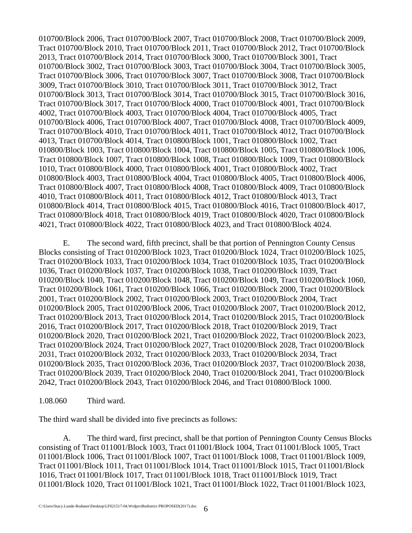010700/Block 2006, Tract 010700/Block 2007, Tract 010700/Block 2008, Tract 010700/Block 2009, Tract 010700/Block 2010, Tract 010700/Block 2011, Tract 010700/Block 2012, Tract 010700/Block 2013, Tract 010700/Block 2014, Tract 010700/Block 3000, Tract 010700/Block 3001, Tract 010700/Block 3002, Tract 010700/Block 3003, Tract 010700/Block 3004, Tract 010700/Block 3005, Tract 010700/Block 3006, Tract 010700/Block 3007, Tract 010700/Block 3008, Tract 010700/Block 3009, Tract 010700/Block 3010, Tract 010700/Block 3011, Tract 010700/Block 3012, Tract 010700/Block 3013, Tract 010700/Block 3014, Tract 010700/Block 3015, Tract 010700/Block 3016, Tract 010700/Block 3017, Tract 010700/Block 4000, Tract 010700/Block 4001, Tract 010700/Block 4002, Tract 010700/Block 4003, Tract 010700/Block 4004, Tract 010700/Block 4005, Tract 010700/Block 4006, Tract 010700/Block 4007, Tract 010700/Block 4008, Tract 010700/Block 4009, Tract 010700/Block 4010, Tract 010700/Block 4011, Tract 010700/Block 4012, Tract 010700/Block 4013, Tract 010700/Block 4014, Tract 010800/Block 1001, Tract 010800/Block 1002, Tract 010800/Block 1003, Tract 010800/Block 1004, Tract 010800/Block 1005, Tract 010800/Block 1006, Tract 010800/Block 1007, Tract 010800/Block 1008, Tract 010800/Block 1009, Tract 010800/Block 1010, Tract 010800/Block 4000, Tract 010800/Block 4001, Tract 010800/Block 4002, Tract 010800/Block 4003, Tract 010800/Block 4004, Tract 010800/Block 4005, Tract 010800/Block 4006, Tract 010800/Block 4007, Tract 010800/Block 4008, Tract 010800/Block 4009, Tract 010800/Block 4010, Tract 010800/Block 4011, Tract 010800/Block 4012, Tract 010800/Block 4013, Tract 010800/Block 4014, Tract 010800/Block 4015, Tract 010800/Block 4016, Tract 010800/Block 4017, Tract 010800/Block 4018, Tract 010800/Block 4019, Tract 010800/Block 4020, Tract 010800/Block 4021, Tract 010800/Block 4022, Tract 010800/Block 4023, and Tract 010800/Block 4024.

E. The second ward, fifth precinct, shall be that portion of Pennington County Census Blocks consisting of Tract 010200/Block 1023, Tract 010200/Block 1024, Tract 010200/Block 1025, Tract 010200/Block 1033, Tract 010200/Block 1034, Tract 010200/Block 1035, Tract 010200/Block 1036, Tract 010200/Block 1037, Tract 010200/Block 1038, Tract 010200/Block 1039, Tract 010200/Block 1040, Tract 010200/Block 1048, Tract 010200/Block 1049, Tract 010200/Block 1060, Tract 010200/Block 1061, Tract 010200/Block 1066, Tract 010200/Block 2000, Tract 010200/Block 2001, Tract 010200/Block 2002, Tract 010200/Block 2003, Tract 010200/Block 2004, Tract 010200/Block 2005, Tract 010200/Block 2006, Tract 010200/Block 2007, Tract 010200/Block 2012, Tract 010200/Block 2013, Tract 010200/Block 2014, Tract 010200/Block 2015, Tract 010200/Block 2016, Tract 010200/Block 2017, Tract 010200/Block 2018, Tract 010200/Block 2019, Tract 010200/Block 2020, Tract 010200/Block 2021, Tract 010200/Block 2022, Tract 010200/Block 2023, Tract 010200/Block 2024, Tract 010200/Block 2027, Tract 010200/Block 2028, Tract 010200/Block 2031, Tract 010200/Block 2032, Tract 010200/Block 2033, Tract 010200/Block 2034, Tract 010200/Block 2035, Tract 010200/Block 2036, Tract 010200/Block 2037, Tract 010200/Block 2038, Tract 010200/Block 2039, Tract 010200/Block 2040, Tract 010200/Block 2041, Tract 010200/Block 2042, Tract 010200/Block 2043, Tract 010200/Block 2046, and Tract 010800/Block 1000.

### 1.08.060 Third ward.

The third ward shall be divided into five precincts as follows:

 A. The third ward, first precinct, shall be that portion of Pennington County Census Blocks consisting of Tract 011001/Block 1003, Tract 011001/Block 1004, Tract 011001/Block 1005, Tract 011001/Block 1006, Tract 011001/Block 1007, Tract 011001/Block 1008, Tract 011001/Block 1009, Tract 011001/Block 1011, Tract 011001/Block 1014, Tract 011001/Block 1015, Tract 011001/Block 1016, Tract 011001/Block 1017, Tract 011001/Block 1018, Tract 011001/Block 1019, Tract 011001/Block 1020, Tract 011001/Block 1021, Tract 011001/Block 1022, Tract 011001/Block 1023,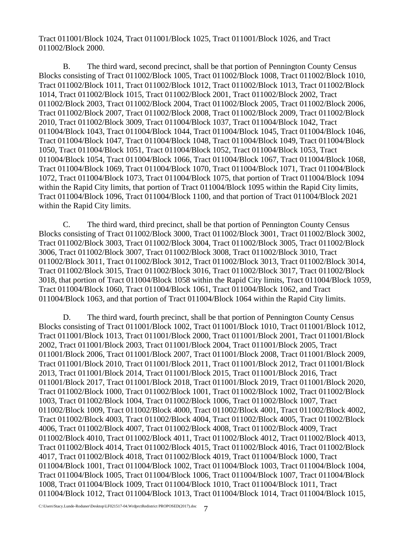Tract 011001/Block 1024, Tract 011001/Block 1025, Tract 011001/Block 1026, and Tract 011002/Block 2000.

 B. The third ward, second precinct, shall be that portion of Pennington County Census Blocks consisting of Tract 011002/Block 1005, Tract 011002/Block 1008, Tract 011002/Block 1010, Tract 011002/Block 1011, Tract 011002/Block 1012, Tract 011002/Block 1013, Tract 011002/Block 1014, Tract 011002/Block 1015, Tract 011002/Block 2001, Tract 011002/Block 2002, Tract 011002/Block 2003, Tract 011002/Block 2004, Tract 011002/Block 2005, Tract 011002/Block 2006, Tract 011002/Block 2007, Tract 011002/Block 2008, Tract 011002/Block 2009, Tract 011002/Block 2010, Tract 011002/Block 3009, Tract 011004/Block 1037, Tract 011004/Block 1042, Tract 011004/Block 1043, Tract 011004/Block 1044, Tract 011004/Block 1045, Tract 011004/Block 1046, Tract 011004/Block 1047, Tract 011004/Block 1048, Tract 011004/Block 1049, Tract 011004/Block 1050, Tract 011004/Block 1051, Tract 011004/Block 1052, Tract 011004/Block 1053, Tract 011004/Block 1054, Tract 011004/Block 1066, Tract 011004/Block 1067, Tract 011004/Block 1068, Tract 011004/Block 1069, Tract 011004/Block 1070, Tract 011004/Block 1071, Tract 011004/Block 1072, Tract 011004/Block 1073, Tract 011004/Block 1075, that portion of Tract 011004/Block 1094 within the Rapid City limits, that portion of Tract 011004/Block 1095 within the Rapid City limits, Tract 011004/Block 1096, Tract 011004/Block 1100, and that portion of Tract 011004/Block 2021 within the Rapid City limits.

 C. The third ward, third precinct, shall be that portion of Pennington County Census Blocks consisting of Tract 011002/Block 3000, Tract 011002/Block 3001, Tract 011002/Block 3002, Tract 011002/Block 3003, Tract 011002/Block 3004, Tract 011002/Block 3005, Tract 011002/Block 3006, Tract 011002/Block 3007, Tract 011002/Block 3008, Tract 011002/Block 3010, Tract 011002/Block 3011, Tract 011002/Block 3012, Tract 011002/Block 3013, Tract 011002/Block 3014, Tract 011002/Block 3015, Tract 011002/Block 3016, Tract 011002/Block 3017, Tract 011002/Block 3018, that portion of Tract 011004/Block 1058 within the Rapid City limits, Tract 011004/Block 1059, Tract 011004/Block 1060, Tract 011004/Block 1061, Tract 011004/Block 1062, and Tract 011004/Block 1063, and that portion of Tract 011004/Block 1064 within the Rapid City limits.

D. The third ward, fourth precinct, shall be that portion of Pennington County Census Blocks consisting of Tract 011001/Block 1002, Tract 011001/Block 1010, Tract 011001/Block 1012, Tract 011001/Block 1013, Tract 011001/Block 2000, Tract 011001/Block 2001, Tract 011001/Block 2002, Tract 011001/Block 2003, Tract 011001/Block 2004, Tract 011001/Block 2005, Tract 011001/Block 2006, Tract 011001/Block 2007, Tract 011001/Block 2008, Tract 011001/Block 2009, Tract 011001/Block 2010, Tract 011001/Block 2011, Tract 011001/Block 2012, Tract 011001/Block 2013, Tract 011001/Block 2014, Tract 011001/Block 2015, Tract 011001/Block 2016, Tract 011001/Block 2017, Tract 011001/Block 2018, Tract 011001/Block 2019, Tract 011001/Block 2020, Tract 011002/Block 1000, Tract 011002/Block 1001, Tract 011002/Block 1002, Tract 011002/Block 1003, Tract 011002/Block 1004, Tract 011002/Block 1006, Tract 011002/Block 1007, Tract 011002/Block 1009, Tract 011002/Block 4000, Tract 011002/Block 4001, Tract 011002/Block 4002, Tract 011002/Block 4003, Tract 011002/Block 4004, Tract 011002/Block 4005, Tract 011002/Block 4006, Tract 011002/Block 4007, Tract 011002/Block 4008, Tract 011002/Block 4009, Tract 011002/Block 4010, Tract 011002/Block 4011, Tract 011002/Block 4012, Tract 011002/Block 4013, Tract 011002/Block 4014, Tract 011002/Block 4015, Tract 011002/Block 4016, Tract 011002/Block 4017, Tract 011002/Block 4018, Tract 011002/Block 4019, Tract 011004/Block 1000, Tract 011004/Block 1001, Tract 011004/Block 1002, Tract 011004/Block 1003, Tract 011004/Block 1004, Tract 011004/Block 1005, Tract 011004/Block 1006, Tract 011004/Block 1007, Tract 011004/Block 1008, Tract 011004/Block 1009, Tract 011004/Block 1010, Tract 011004/Block 1011, Tract 011004/Block 1012, Tract 011004/Block 1013, Tract 011004/Block 1014, Tract 011004/Block 1015,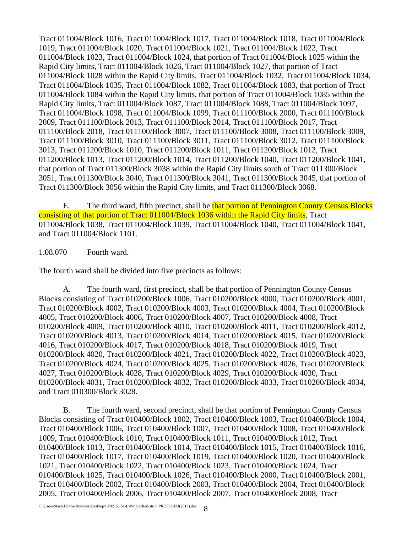Tract 011004/Block 1016, Tract 011004/Block 1017, Tract 011004/Block 1018, Tract 011004/Block 1019, Tract 011004/Block 1020, Tract 011004/Block 1021, Tract 011004/Block 1022, Tract 011004/Block 1023, Tract 011004/Block 1024, that portion of Tract 011004/Block 1025 within the Rapid City limits, Tract 011004/Block 1026, Tract 011004/Block 1027, that portion of Tract 011004/Block 1028 within the Rapid City limits, Tract 011004/Block 1032, Tract 011004/Block 1034, Tract 011004/Block 1035, Tract 011004/Block 1082, Tract 011004/Block 1083, that portion of Tract 011004/Block 1084 within the Rapid City limits, that portion of Tract 011004/Block 1085 within the Rapid City limits, Tract 011004/Block 1087, Tract 011004/Block 1088, Tract 011004/Block 1097, Tract 011004/Block 1098, Tract 011004/Block 1099, Tract 011100/Block 2000, Tract 011100/Block 2009, Tract 011100/Block 2013, Tract 011100/Block 2014, Tract 011100/Block 2017, Tract 011100/Block 2018, Tract 011100/Block 3007, Tract 011100/Block 3008, Tract 011100/Block 3009, Tract 011100/Block 3010, Tract 011100/Block 3011, Tract 011100/Block 3012, Tract 011100/Block 3013, Tract 011200/Block 1010, Tract 011200/Block 1011, Tract 011200/Block 1012, Tract 011200/Block 1013, Tract 011200/Block 1014, Tract 011200/Block 1040, Tract 011200/Block 1041, that portion of Tract 011300/Block 3038 within the Rapid City limits south of Tract 011300/Block 3051, Tract 011300/Block 3040, Tract 011300/Block 3041, Tract 011300/Block 3045, that portion of Tract 011300/Block 3056 within the Rapid City limits, and Tract 011300/Block 3068.

E. The third ward, fifth precinct, shall be that portion of Pennington County Census Blocks consisting of that portion of Tract 011004/Block 1036 within the Rapid City limits, Tract 011004/Block 1038, Tract 011004/Block 1039, Tract 011004/Block 1040, Tract 011004/Block 1041, and Tract 011004/Block 1101.

1.08.070 Fourth ward.

The fourth ward shall be divided into five precincts as follows:

 A. The fourth ward, first precinct, shall be that portion of Pennington County Census Blocks consisting of Tract 010200/Block 1006, Tract 010200/Block 4000, Tract 010200/Block 4001, Tract 010200/Block 4002, Tract 010200/Block 4003, Tract 010200/Block 4004, Tract 010200/Block 4005, Tract 010200/Block 4006, Tract 010200/Block 4007, Tract 010200/Block 4008, Tract 010200/Block 4009, Tract 010200/Block 4010, Tract 010200/Block 4011, Tract 010200/Block 4012, Tract 010200/Block 4013, Tract 010200/Block 4014, Tract 010200/Block 4015, Tract 010200/Block 4016, Tract 010200/Block 4017, Tract 010200/Block 4018, Tract 010200/Block 4019, Tract 010200/Block 4020, Tract 010200/Block 4021, Tract 010200/Block 4022, Tract 010200/Block 4023, Tract 010200/Block 4024, Tract 010200/Block 4025, Tract 010200/Block 4026, Tract 010200/Block 4027, Tract 010200/Block 4028, Tract 010200/Block 4029, Tract 010200/Block 4030, Tract 010200/Block 4031, Tract 010200/Block 4032, Tract 010200/Block 4033, Tract 010200/Block 4034, and Tract 010300/Block 3028.

 B. The fourth ward, second precinct, shall be that portion of Pennington County Census Blocks consisting of Tract 010400/Block 1002, Tract 010400/Block 1003, Tract 010400/Block 1004, Tract 010400/Block 1006, Tract 010400/Block 1007, Tract 010400/Block 1008, Tract 010400/Block 1009, Tract 010400/Block 1010, Tract 010400/Block 1011, Tract 010400/Block 1012, Tract 010400/Block 1013, Tract 010400/Block 1014, Tract 010400/Block 1015, Tract 010400/Block 1016, Tract 010400/Block 1017, Tract 010400/Block 1019, Tract 010400/Block 1020, Tract 010400/Block 1021, Tract 010400/Block 1022, Tract 010400/Block 1023, Tract 010400/Block 1024, Tract 010400/Block 1025, Tract 010400/Block 1026, Tract 010400/Block 2000, Tract 010400/Block 2001, Tract 010400/Block 2002, Tract 010400/Block 2003, Tract 010400/Block 2004, Tract 010400/Block 2005, Tract 010400/Block 2006, Tract 010400/Block 2007, Tract 010400/Block 2008, Tract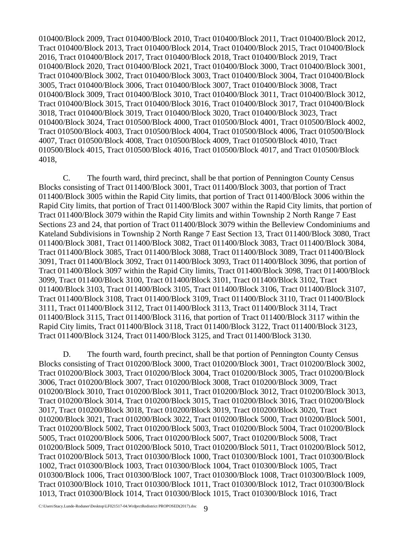010400/Block 2009, Tract 010400/Block 2010, Tract 010400/Block 2011, Tract 010400/Block 2012, Tract 010400/Block 2013, Tract 010400/Block 2014, Tract 010400/Block 2015, Tract 010400/Block 2016, Tract 010400/Block 2017, Tract 010400/Block 2018, Tract 010400/Block 2019, Tract 010400/Block 2020, Tract 010400/Block 2021, Tract 010400/Block 3000, Tract 010400/Block 3001, Tract 010400/Block 3002, Tract 010400/Block 3003, Tract 010400/Block 3004, Tract 010400/Block 3005, Tract 010400/Block 3006, Tract 010400/Block 3007, Tract 010400/Block 3008, Tract 010400/Block 3009, Tract 010400/Block 3010, Tract 010400/Block 3011, Tract 010400/Block 3012, Tract 010400/Block 3015, Tract 010400/Block 3016, Tract 010400/Block 3017, Tract 010400/Block 3018, Tract 010400/Block 3019, Tract 010400/Block 3020, Tract 010400/Block 3023, Tract 010400/Block 3024, Tract 010500/Block 4000, Tract 010500/Block 4001, Tract 010500/Block 4002, Tract 010500/Block 4003, Tract 010500/Block 4004, Tract 010500/Block 4006, Tract 010500/Block 4007, Tract 010500/Block 4008, Tract 010500/Block 4009, Tract 010500/Block 4010, Tract 010500/Block 4015, Tract 010500/Block 4016, Tract 010500/Block 4017, and Tract 010500/Block 4018,

C. The fourth ward, third precinct, shall be that portion of Pennington County Census Blocks consisting of Tract 011400/Block 3001, Tract 011400/Block 3003, that portion of Tract 011400/Block 3005 within the Rapid City limits, that portion of Tract 011400/Block 3006 within the Rapid City limits, that portion of Tract 011400/Block 3007 within the Rapid City limits, that portion of Tract 011400/Block 3079 within the Rapid City limits and within Township 2 North Range 7 East Sections 23 and 24, that portion of Tract 011400/Block 3079 within the Belleview Condominiums and Kateland Subdivisions in Township 2 North Range 7 East Section 13, Tract 011400/Block 3080, Tract 011400/Block 3081, Tract 011400/Block 3082, Tract 011400/Block 3083, Tract 011400/Block 3084, Tract 011400/Block 3085, Tract 011400/Block 3088, Tract 011400/Block 3089, Tract 011400/Block 3091, Tract 011400/Block 3092, Tract 011400/Block 3093, Tract 011400/Block 3096, that portion of Tract 011400/Block 3097 within the Rapid City limits, Tract 011400/Block 3098, Tract 011400/Block 3099, Tract 011400/Block 3100, Tract 011400/Block 3101, Tract 011400/Block 3102, Tract 011400/Block 3103, Tract 011400/Block 3105, Tract 011400/Block 3106, Tract 011400/Block 3107, Tract 011400/Block 3108, Tract 011400/Block 3109, Tract 011400/Block 3110, Tract 011400/Block 3111, Tract 011400/Block 3112, Tract 011400/Block 3113, Tract 011400/Block 3114, Tract 011400/Block 3115, Tract 011400/Block 3116, that portion of Tract 011400/Block 3117 within the Rapid City limits, Tract 011400/Block 3118, Tract 011400/Block 3122, Tract 011400/Block 3123, Tract 011400/Block 3124, Tract 011400/Block 3125, and Tract 011400/Block 3130.

D. The fourth ward, fourth precinct, shall be that portion of Pennington County Census Blocks consisting of Tract 010200/Block 3000, Tract 010200/Block 3001, Tract 010200/Block 3002, Tract 010200/Block 3003, Tract 010200/Block 3004, Tract 010200/Block 3005, Tract 010200/Block 3006, Tract 010200/Block 3007, Tract 010200/Block 3008, Tract 010200/Block 3009, Tract 010200/Block 3010, Tract 010200/Block 3011, Tract 010200/Block 3012, Tract 010200/Block 3013, Tract 010200/Block 3014, Tract 010200/Block 3015, Tract 010200/Block 3016, Tract 010200/Block 3017, Tract 010200/Block 3018, Tract 010200/Block 3019, Tract 010200/Block 3020, Tract 010200/Block 3021, Tract 010200/Block 3022, Tract 010200/Block 5000, Tract 010200/Block 5001, Tract 010200/Block 5002, Tract 010200/Block 5003, Tract 010200/Block 5004, Tract 010200/Block 5005, Tract 010200/Block 5006, Tract 010200/Block 5007, Tract 010200/Block 5008, Tract 010200/Block 5009, Tract 010200/Block 5010, Tract 010200/Block 5011, Tract 010200/Block 5012, Tract 010200/Block 5013, Tract 010300/Block 1000, Tract 010300/Block 1001, Tract 010300/Block 1002, Tract 010300/Block 1003, Tract 010300/Block 1004, Tract 010300/Block 1005, Tract 010300/Block 1006, Tract 010300/Block 1007, Tract 010300/Block 1008, Tract 010300/Block 1009, Tract 010300/Block 1010, Tract 010300/Block 1011, Tract 010300/Block 1012, Tract 010300/Block 1013, Tract 010300/Block 1014, Tract 010300/Block 1015, Tract 010300/Block 1016, Tract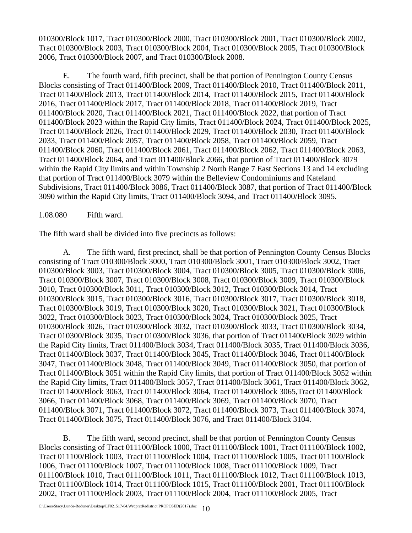010300/Block 1017, Tract 010300/Block 2000, Tract 010300/Block 2001, Tract 010300/Block 2002, Tract 010300/Block 2003, Tract 010300/Block 2004, Tract 010300/Block 2005, Tract 010300/Block 2006, Tract 010300/Block 2007, and Tract 010300/Block 2008.

E. The fourth ward, fifth precinct, shall be that portion of Pennington County Census Blocks consisting of Tract 011400/Block 2009, Tract 011400/Block 2010, Tract 011400/Block 2011, Tract 011400/Block 2013, Tract 011400/Block 2014, Tract 011400/Block 2015, Tract 011400/Block 2016, Tract 011400/Block 2017, Tract 011400/Block 2018, Tract 011400/Block 2019, Tract 011400/Block 2020, Tract 011400/Block 2021, Tract 011400/Block 2022, that portion of Tract 011400/Block 2023 within the Rapid City limits, Tract 011400/Block 2024, Tract 011400/Block 2025, Tract 011400/Block 2026, Tract 011400/Block 2029, Tract 011400/Block 2030, Tract 011400/Block 2033, Tract 011400/Block 2057, Tract 011400/Block 2058, Tract 011400/Block 2059, Tract 011400/Block 2060, Tract 011400/Block 2061, Tract 011400/Block 2062, Tract 011400/Block 2063, Tract 011400/Block 2064, and Tract 011400/Block 2066, that portion of Tract 011400/Block 3079 within the Rapid City limits and within Township 2 North Range 7 East Sections 13 and 14 excluding that portion of Tract 011400/Block 3079 within the Belleview Condominiums and Kateland Subdivisions, Tract 011400/Block 3086, Tract 011400/Block 3087, that portion of Tract 011400/Block 3090 within the Rapid City limits, Tract 011400/Block 3094, and Tract 011400/Block 3095.

1.08.080 Fifth ward.

The fifth ward shall be divided into five precincts as follows:

 A. The fifth ward, first precinct, shall be that portion of Pennington County Census Blocks consisting of Tract 010300/Block 3000, Tract 010300/Block 3001, Tract 010300/Block 3002, Tract 010300/Block 3003, Tract 010300/Block 3004, Tract 010300/Block 3005, Tract 010300/Block 3006, Tract 010300/Block 3007, Tract 010300/Block 3008, Tract 010300/Block 3009, Tract 010300/Block 3010, Tract 010300/Block 3011, Tract 010300/Block 3012, Tract 010300/Block 3014, Tract 010300/Block 3015, Tract 010300/Block 3016, Tract 010300/Block 3017, Tract 010300/Block 3018, Tract 010300/Block 3019, Tract 010300/Block 3020, Tract 010300/Block 3021, Tract 010300/Block 3022, Tract 010300/Block 3023, Tract 010300/Block 3024, Tract 010300/Block 3025, Tract 010300/Block 3026, Tract 010300/Block 3032, Tract 010300/Block 3033, Tract 010300/Block 3034, Tract 010300/Block 3035, Tract 010300/Block 3036, that portion of Tract 011400/Block 3029 within the Rapid City limits, Tract 011400/Block 3034, Tract 011400/Block 3035, Tract 011400/Block 3036, Tract 011400/Block 3037, Tract 011400/Block 3045, Tract 011400/Block 3046, Tract 011400/Block 3047, Tract 011400/Block 3048, Tract 011400/Block 3049, Tract 011400/Block 3050, that portion of Tract 011400/Block 3051 within the Rapid City limits, that portion of Tract 011400/Block 3052 within the Rapid City limits, Tract 011400/Block 3057, Tract 011400/Block 3061, Tract 011400/Block 3062, Tract 011400/Block 3063, Tract 011400/Block 3064, Tract 011400/Block 3065,Tract 011400/Block 3066, Tract 011400/Block 3068, Tract 011400/Block 3069, Tract 011400/Block 3070, Tract 011400/Block 3071, Tract 011400/Block 3072, Tract 011400/Block 3073, Tract 011400/Block 3074, Tract 011400/Block 3075, Tract 011400/Block 3076, and Tract 011400/Block 3104.

B. The fifth ward, second precinct, shall be that portion of Pennington County Census Blocks consisting of Tract 011100/Block 1000, Tract 011100/Block 1001, Tract 011100/Block 1002, Tract 011100/Block 1003, Tract 011100/Block 1004, Tract 011100/Block 1005, Tract 011100/Block 1006, Tract 011100/Block 1007, Tract 011100/Block 1008, Tract 011100/Block 1009, Tract 011100/Block 1010, Tract 011100/Block 1011, Tract 011100/Block 1012, Tract 011100/Block 1013, Tract 011100/Block 1014, Tract 011100/Block 1015, Tract 011100/Block 2001, Tract 011100/Block 2002, Tract 011100/Block 2003, Tract 011100/Block 2004, Tract 011100/Block 2005, Tract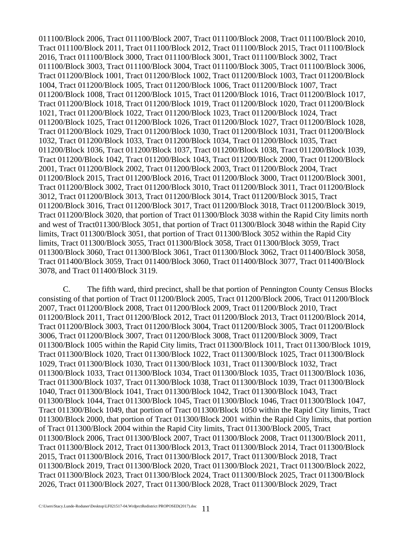011100/Block 2006, Tract 011100/Block 2007, Tract 011100/Block 2008, Tract 011100/Block 2010, Tract 011100/Block 2011, Tract 011100/Block 2012, Tract 011100/Block 2015, Tract 011100/Block 2016, Tract 011100/Block 3000, Tract 011100/Block 3001, Tract 011100/Block 3002, Tract 011100/Block 3003, Tract 011100/Block 3004, Tract 011100/Block 3005, Tract 011100/Block 3006, Tract 011200/Block 1001, Tract 011200/Block 1002, Tract 011200/Block 1003, Tract 011200/Block 1004, Tract 011200/Block 1005, Tract 011200/Block 1006, Tract 011200/Block 1007, Tract 011200/Block 1008, Tract 011200/Block 1015, Tract 011200/Block 1016, Tract 011200/Block 1017, Tract 011200/Block 1018, Tract 011200/Block 1019, Tract 011200/Block 1020, Tract 011200/Block 1021, Tract 011200/Block 1022, Tract 011200/Block 1023, Tract 011200/Block 1024, Tract 011200/Block 1025, Tract 011200/Block 1026, Tract 011200/Block 1027, Tract 011200/Block 1028, Tract 011200/Block 1029, Tract 011200/Block 1030, Tract 011200/Block 1031, Tract 011200/Block 1032, Tract 011200/Block 1033, Tract 011200/Block 1034, Tract 011200/Block 1035, Tract 011200/Block 1036, Tract 011200/Block 1037, Tract 011200/Block 1038, Tract 011200/Block 1039, Tract 011200/Block 1042, Tract 011200/Block 1043, Tract 011200/Block 2000, Tract 011200/Block 2001, Tract 011200/Block 2002, Tract 011200/Block 2003, Tract 011200/Block 2004, Tract 011200/Block 2015, Tract 011200/Block 2016, Tract 011200/Block 3000, Tract 011200/Block 3001, Tract 011200/Block 3002, Tract 011200/Block 3010, Tract 011200/Block 3011, Tract 011200/Block 3012, Tract 011200/Block 3013, Tract 011200/Block 3014, Tract 011200/Block 3015, Tract 011200/Block 3016, Tract 011200/Block 3017, Tract 011200/Block 3018, Tract 011200/Block 3019, Tract 011200/Block 3020, that portion of Tract 011300/Block 3038 within the Rapid City limits north and west of Tract011300/Block 3051, that portion of Tract 011300/Block 3048 within the Rapid City limits, Tract 011300/Block 3051, that portion of Tract 011300/Block 3052 within the Rapid City limits, Tract 011300/Block 3055, Tract 011300/Block 3058, Tract 011300/Block 3059, Tract 011300/Block 3060, Tract 011300/Block 3061, Tract 011300/Block 3062, Tract 011400/Block 3058, Tract 011400/Block 3059, Tract 011400/Block 3060, Tract 011400/Block 3077, Tract 011400/Block 3078, and Tract 011400/Block 3119.

C. The fifth ward, third precinct, shall be that portion of Pennington County Census Blocks consisting of that portion of Tract 011200/Block 2005, Tract 011200/Block 2006, Tract 011200/Block 2007, Tract 011200/Block 2008, Tract 011200/Block 2009, Tract 011200/Block 2010, Tract 011200/Block 2011, Tract 011200/Block 2012, Tract 011200/Block 2013, Tract 011200/Block 2014, Tract 011200/Block 3003, Tract 011200/Block 3004, Tract 011200/Block 3005, Tract 011200/Block 3006, Tract 011200/Block 3007, Tract 011200/Block 3008, Tract 011200/Block 3009, Tract 011300/Block 1005 within the Rapid City limits, Tract 011300/Block 1011, Tract 011300/Block 1019, Tract 011300/Block 1020, Tract 011300/Block 1022, Tract 011300/Block 1025, Tract 011300/Block 1029, Tract 011300/Block 1030, Tract 011300/Block 1031, Tract 011300/Block 1032, Tract 011300/Block 1033, Tract 011300/Block 1034, Tract 011300/Block 1035, Tract 011300/Block 1036, Tract 011300/Block 1037, Tract 011300/Block 1038, Tract 011300/Block 1039, Tract 011300/Block 1040, Tract 011300/Block 1041, Tract 011300/Block 1042, Tract 011300/Block 1043, Tract 011300/Block 1044, Tract 011300/Block 1045, Tract 011300/Block 1046, Tract 011300/Block 1047, Tract 011300/Block 1049, that portion of Tract 011300/Block 1050 within the Rapid City limits, Tract 011300/Block 2000, that portion of Tract 011300/Block 2001 within the Rapid City limits, that portion of Tract 011300/Block 2004 within the Rapid City limits, Tract 011300/Block 2005, Tract 011300/Block 2006, Tract 011300/Block 2007, Tract 011300/Block 2008, Tract 011300/Block 2011, Tract 011300/Block 2012, Tract 011300/Block 2013, Tract 011300/Block 2014, Tract 011300/Block 2015, Tract 011300/Block 2016, Tract 011300/Block 2017, Tract 011300/Block 2018, Tract 011300/Block 2019, Tract 011300/Block 2020, Tract 011300/Block 2021, Tract 011300/Block 2022, Tract 011300/Block 2023, Tract 011300/Block 2024, Tract 011300/Block 2025, Tract 011300/Block 2026, Tract 011300/Block 2027, Tract 011300/Block 2028, Tract 011300/Block 2029, Tract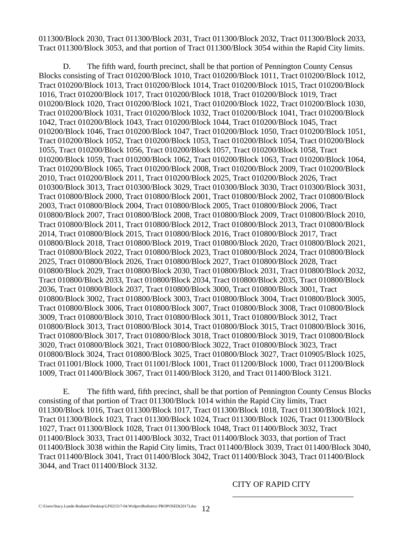011300/Block 2030, Tract 011300/Block 2031, Tract 011300/Block 2032, Tract 011300/Block 2033, Tract 011300/Block 3053, and that portion of Tract 011300/Block 3054 within the Rapid City limits.

D. The fifth ward, fourth precinct, shall be that portion of Pennington County Census Blocks consisting of Tract 010200/Block 1010, Tract 010200/Block 1011, Tract 010200/Block 1012, Tract 010200/Block 1013, Tract 010200/Block 1014, Tract 010200/Block 1015, Tract 010200/Block 1016, Tract 010200/Block 1017, Tract 010200/Block 1018, Tract 010200/Block 1019, Tract 010200/Block 1020, Tract 010200/Block 1021, Tract 010200/Block 1022, Tract 010200/Block 1030, Tract 010200/Block 1031, Tract 010200/Block 1032, Tract 010200/Block 1041, Tract 010200/Block 1042, Tract 010200/Block 1043, Tract 010200/Block 1044, Tract 010200/Block 1045, Tract 010200/Block 1046, Tract 010200/Block 1047, Tract 010200/Block 1050, Tract 010200/Block 1051, Tract 010200/Block 1052, Tract 010200/Block 1053, Tract 010200/Block 1054, Tract 010200/Block 1055, Tract 010200/Block 1056, Tract 010200/Block 1057, Tract 010200/Block 1058, Tract 010200/Block 1059, Tract 010200/Block 1062, Tract 010200/Block 1063, Tract 010200/Block 1064, Tract 010200/Block 1065, Tract 010200/Block 2008, Tract 010200/Block 2009, Tract 010200/Block 2010, Tract 010200/Block 2011, Tract 010200/Block 2025, Tract 010200/Block 2026, Tract 010300/Block 3013, Tract 010300/Block 3029, Tract 010300/Block 3030, Tract 010300/Block 3031, Tract 010800/Block 2000, Tract 010800/Block 2001, Tract 010800/Block 2002, Tract 010800/Block 2003, Tract 010800/Block 2004, Tract 010800/Block 2005, Tract 010800/Block 2006, Tract 010800/Block 2007, Tract 010800/Block 2008, Tract 010800/Block 2009, Tract 010800/Block 2010, Tract 010800/Block 2011, Tract 010800/Block 2012, Tract 010800/Block 2013, Tract 010800/Block 2014, Tract 010800/Block 2015, Tract 010800/Block 2016, Tract 010800/Block 2017, Tract 010800/Block 2018, Tract 010800/Block 2019, Tract 010800/Block 2020, Tract 010800/Block 2021, Tract 010800/Block 2022, Tract 010800/Block 2023, Tract 010800/Block 2024, Tract 010800/Block 2025, Tract 010800/Block 2026, Tract 010800/Block 2027, Tract 010800/Block 2028, Tract 010800/Block 2029, Tract 010800/Block 2030, Tract 010800/Block 2031, Tract 010800/Block 2032, Tract 010800/Block 2033, Tract 010800/Block 2034, Tract 010800/Block 2035, Tract 010800/Block 2036, Tract 010800/Block 2037, Tract 010800/Block 3000, Tract 010800/Block 3001, Tract 010800/Block 3002, Tract 010800/Block 3003, Tract 010800/Block 3004, Tract 010800/Block 3005, Tract 010800/Block 3006, Tract 010800/Block 3007, Tract 010800/Block 3008, Tract 010800/Block 3009, Tract 010800/Block 3010, Tract 010800/Block 3011, Tract 010800/Block 3012, Tract 010800/Block 3013, Tract 010800/Block 3014, Tract 010800/Block 3015, Tract 010800/Block 3016, Tract 010800/Block 3017, Tract 010800/Block 3018, Tract 010800/Block 3019, Tract 010800/Block 3020, Tract 010800/Block 3021, Tract 010800/Block 3022, Tract 010800/Block 3023, Tract 010800/Block 3024, Tract 010800/Block 3025, Tract 010800/Block 3027, Tract 010905/Block 1025, Tract 011001/Block 1000, Tract 011001/Block 1001, Tract 011200/Block 1000, Tract 011200/Block 1009, Tract 011400/Block 3067, Tract 011400/Block 3120, and Tract 011400/Block 3121.

E. The fifth ward, fifth precinct, shall be that portion of Pennington County Census Blocks consisting of that portion of Tract 011300/Block 1014 within the Rapid City limits, Tract 011300/Block 1016, Tract 011300/Block 1017, Tract 011300/Block 1018, Tract 011300/Block 1021, Tract 011300/Block 1023, Tract 011300/Block 1024, Tract 011300/Block 1026, Tract 011300/Block 1027, Tract 011300/Block 1028, Tract 011300/Block 1048, Tract 011400/Block 3032, Tract 011400/Block 3033, Tract 011400/Block 3032, Tract 011400/Block 3033, that portion of Tract 011400/Block 3038 within the Rapid City limits, Tract 011400/Block 3039, Tract 011400/Block 3040, Tract 011400/Block 3041, Tract 011400/Block 3042, Tract 011400/Block 3043, Tract 011400/Block 3044, and Tract 011400/Block 3132.

CITY OF RAPID CITY

 $\overline{\phantom{a}}$  , and the contract of the contract of the contract of the contract of the contract of the contract of the contract of the contract of the contract of the contract of the contract of the contract of the contrac